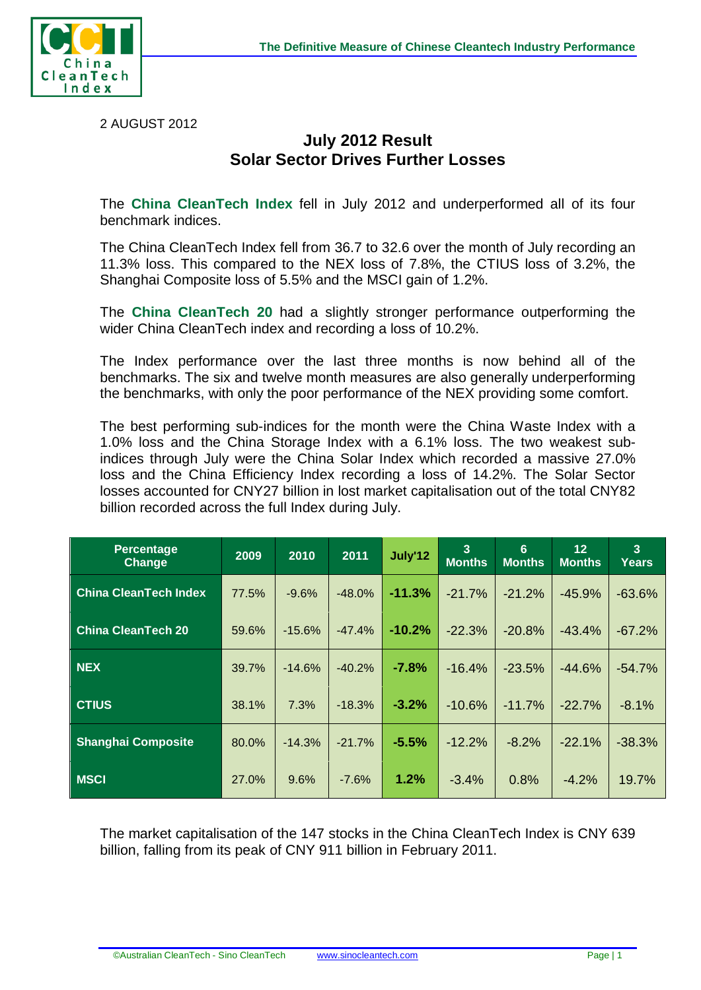

2 AUGUST 2012

## **July 2012 Result Solar Sector Drives Further Losses**

The **China CleanTech Index** fell in July 2012 and underperformed all of its four benchmark indices.

The China CleanTech Index fell from 36.7 to 32.6 over the month of July recording an 11.3% loss. This compared to the NEX loss of 7.8%, the CTIUS loss of 3.2%, the Shanghai Composite loss of 5.5% and the MSCI gain of 1.2%.

The **China CleanTech 20** had a slightly stronger performance outperforming the wider China CleanTech index and recording a loss of 10.2%.

The Index performance over the last three months is now behind all of the benchmarks. The six and twelve month measures are also generally underperforming the benchmarks, with only the poor performance of the NEX providing some comfort.

The best performing sub-indices for the month were the China Waste Index with a 1.0% loss and the China Storage Index with a 6.1% loss. The two weakest subindices through July were the China Solar Index which recorded a massive 27.0% loss and the China Efficiency Index recording a loss of 14.2%. The Solar Sector losses accounted for CNY27 billion in lost market capitalisation out of the total CNY82 billion recorded across the full Index during July.

| Percentage<br><b>Change</b>  | 2009  | 2010     | 2011     | July'12  | 3<br><b>Months</b> | 6<br><b>Months</b> | 12<br><b>Months</b> | $\overline{3}$<br><b>Years</b> |
|------------------------------|-------|----------|----------|----------|--------------------|--------------------|---------------------|--------------------------------|
| <b>China CleanTech Index</b> | 77.5% | $-9.6%$  | $-48.0%$ | $-11.3%$ | $-21.7%$           | $-21.2%$           | $-45.9%$            | $-63.6%$                       |
| <b>China CleanTech 20</b>    | 59.6% | $-15.6%$ | $-47.4%$ | $-10.2%$ | $-22.3%$           | $-20.8%$           | $-43.4%$            | $-67.2%$                       |
| <b>NEX</b>                   | 39.7% | $-14.6%$ | $-40.2%$ | $-7.8%$  | $-16.4%$           | $-23.5%$           | $-44.6%$            | $-54.7%$                       |
| <b>CTIUS</b>                 | 38.1% | 7.3%     | $-18.3%$ | $-3.2%$  | $-10.6%$           | $-11.7%$           | $-22.7%$            | $-8.1%$                        |
| <b>Shanghai Composite</b>    | 80.0% | $-14.3%$ | $-21.7%$ | $-5.5%$  | $-12.2%$           | $-8.2%$            | $-22.1%$            | $-38.3%$                       |
| <b>MSCI</b>                  | 27.0% | 9.6%     | $-7.6%$  | 1.2%     | $-3.4%$            | 0.8%               | $-4.2%$             | 19.7%                          |

The market capitalisation of the 147 stocks in the China CleanTech Index is CNY 639 billion, falling from its peak of CNY 911 billion in February 2011.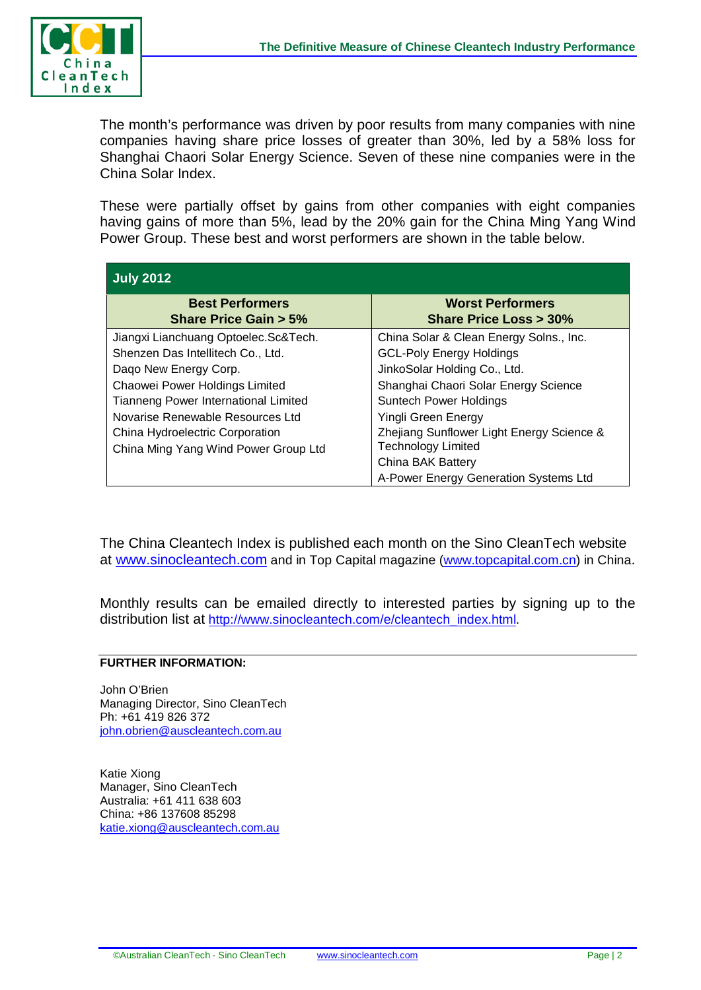

The month's performance was driven by poor results from many companies with nine companies having share price losses of greater than 30%, led by a 58% loss for Shanghai Chaori Solar Energy Science. Seven of these nine companies were in the China Solar Index.

These were partially offset by gains from other companies with eight companies having gains of more than 5%, lead by the 20% gain for the China Ming Yang Wind Power Group. These best and worst performers are shown in the table below.

| <b>July 2012</b>                     |                                           |  |  |  |  |  |
|--------------------------------------|-------------------------------------------|--|--|--|--|--|
| <b>Best Performers</b>               | <b>Worst Performers</b>                   |  |  |  |  |  |
| <b>Share Price Gain &gt; 5%</b>      | <b>Share Price Loss &gt; 30%</b>          |  |  |  |  |  |
| Jiangxi Lianchuang Optoelec.Sc&Tech. | China Solar & Clean Energy Solns., Inc.   |  |  |  |  |  |
| Shenzen Das Intellitech Co., Ltd.    | <b>GCL-Poly Energy Holdings</b>           |  |  |  |  |  |
| Dago New Energy Corp.                | JinkoSolar Holding Co., Ltd.              |  |  |  |  |  |
| Chaowei Power Holdings Limited       | Shanghai Chaori Solar Energy Science      |  |  |  |  |  |
| Tianneng Power International Limited | <b>Suntech Power Holdings</b>             |  |  |  |  |  |
| Novarise Renewable Resources Ltd     | Yingli Green Energy                       |  |  |  |  |  |
| China Hydroelectric Corporation      | Zhejiang Sunflower Light Energy Science & |  |  |  |  |  |
| China Ming Yang Wind Power Group Ltd | <b>Technology Limited</b>                 |  |  |  |  |  |
|                                      | <b>China BAK Battery</b>                  |  |  |  |  |  |
|                                      | A-Power Energy Generation Systems Ltd     |  |  |  |  |  |

The China Cleantech Index is published each month on the Sino CleanTech website at [www.sinocleantech.com](http://www.sinocleantech.com/) and in Top Capital magazine [\(www.topcapital.com.cn\)](http://www.topcapital.com.cn/) in China.

Monthly results can be emailed directly to interested parties by signing up to the distribution list at [http://www.sinocleantech.com/e/cleantech\\_index.html.](http://www.sinocleantech.com/e/cleantech_index.html)

## **FURTHER INFORMATION:**

John O'Brien Managing Director, Sino CleanTech Ph: +61 419 826 372 [john.obrien@auscleantech.com.au](mailto:john.obrien@auscleantech.com.au)

Katie Xiong Manager, Sino CleanTech Australia: +61 411 638 603 China: +86 137608 85298 [katie.xiong@auscleantech.com.au](mailto:katie.xiong@auscleantech.com.au)